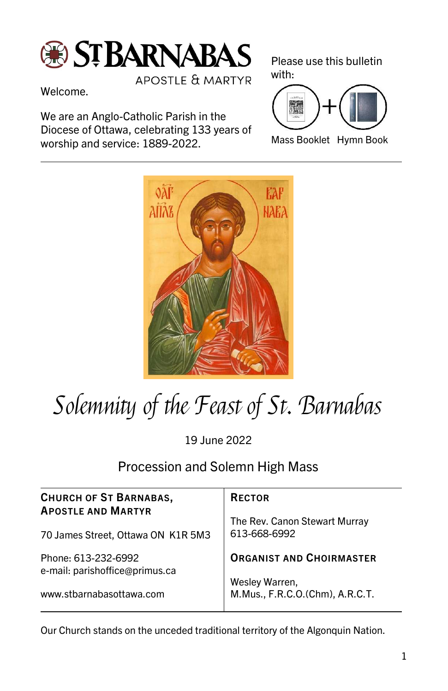

**APOSTLE & MARTYR** 

Welcome.

We are an Anglo-Catholic Parish in the Diocese of Ottawa, celebrating 133 years of worship and service: 1889-2022.

Please use this bulletin with:





# Solemnity of the Feast of St. Barnabas

19 June 2022

Procession and Solemn High Mass

| <b>CHURCH OF ST BARNABAS,</b><br><b>APOSTLE AND MARTYR</b><br>70 James Street, Ottawa ON K1R 5M3 | <b>RECTOR</b>                                     |  |
|--------------------------------------------------------------------------------------------------|---------------------------------------------------|--|
|                                                                                                  | The Rev. Canon Stewart Murray<br>613-668-6992     |  |
| Phone: 613-232-6992<br>e-mail: parishoffice@primus.ca                                            | <b>ORGANIST AND CHOIRMASTER</b>                   |  |
| www.stbarnabasottawa.com                                                                         | Wesley Warren,<br>M.Mus., F.R.C.O.(Chm), A.R.C.T. |  |

Our Church stands on the unceded traditional territory of the Algonquin Nation.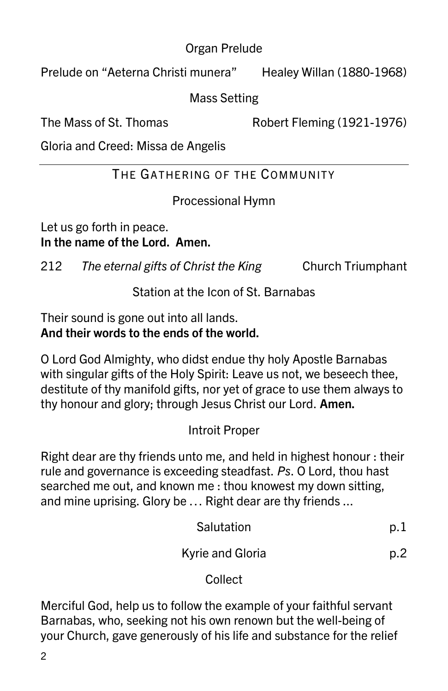## Organ Prelude

Prelude on "Aeterna Christi munera" Healey Willan (1880-1968)

Mass Setting

The Mass of St. Thomas Robert Fleming (1921-1976)

Gloria and Creed: Missa de Angelis

# THE GATHERING OF THE COMMUNITY

# Processional Hymn

Let us go forth in peace. In the name of the Lord. Amen.

212 The eternal gifts of Christ the King Church Triumphant

Station at the Icon of St. Barnabas

## Their sound is gone out into all lands. And their words to the ends of the world.

O Lord God Almighty, who didst endue thy holy Apostle Barnabas with singular gifts of the Holy Spirit: Leave us not, we beseech thee, destitute of thy manifold gifts, nor yet of grace to use them always to thy honour and glory; through Jesus Christ our Lord. Amen.

Introit Proper

Right dear are thy friends unto me, and held in highest honour : their rule and governance is exceeding steadfast. Ps. O Lord, thou hast searched me out, and known me : thou knowest my down sitting, and mine uprising. Glory be … Right dear are thy friends ...

Kyrie and Gloria by the p.2

Collect

Merciful God, help us to follow the example of your faithful servant Barnabas, who, seeking not his own renown but the well-being of your Church, gave generously of his life and substance for the relief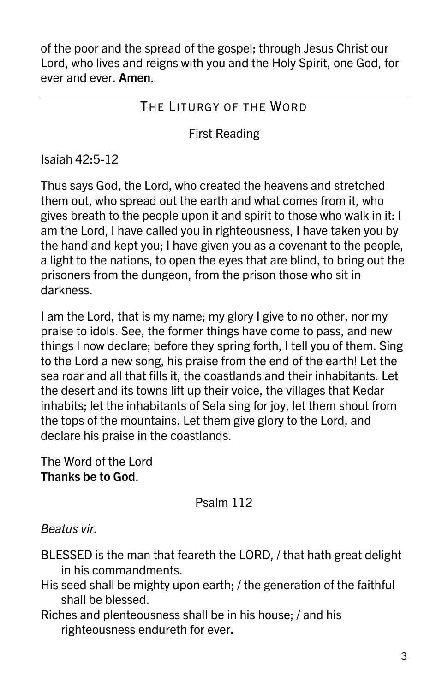of the poor and the spread of the gospel; through Jesus Christ our Lord, who lives and reigns with you and the Holy Spirit, one God, for ever and ever. Amen.

## THE LITURGY OF THE WORD

First Reading

Isaiah 42:5-12

Thus says God, the Lord, who created the heavens and stretched them out, who spread out the earth and what comes from it, who gives breath to the people upon it and spirit to those who walk in it: I am the Lord, I have called you in righteousness, I have taken you by the hand and kept you; I have given you as a covenant to the people, a light to the nations, to open the eyes that are blind, to bring out the prisoners from the dungeon, from the prison those who sit in darkness.

I am the Lord, that is my name; my glory I give to no other, nor my praise to idols. See, the former things have come to pass, and new things I now declare; before they spring forth, I tell you of them. Sing to the Lord a new song, his praise from the end of the earth! Let the sea roar and all that fills it, the coastlands and their inhabitants. Let the desert and its towns lift up their voice, the villages that Kedar inhabits; let the inhabitants of Sela sing for joy, let them shout from the tops of the mountains. Let them give glory to the Lord, and declare his praise in the coastlands.

The Word of the Lord Thanks be to God.

# Psalm 112

Beatus vir.

- BLESSED is the man that feareth the LORD, / that hath great delight in his commandments.
- His seed shall be mighty upon earth; / the generation of the faithful shall be blessed.
- Riches and plenteousness shall be in his house; / and his righteousness endureth for ever.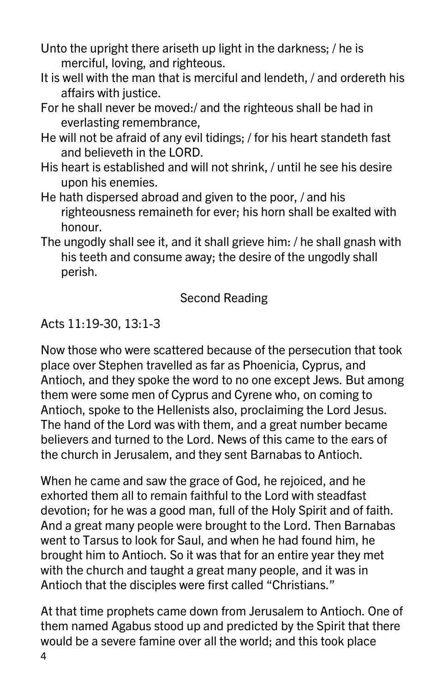Unto the upright there ariseth up light in the darkness; / he is merciful, loving, and righteous.

- It is well with the man that is merciful and lendeth, / and ordereth his affairs with justice.
- For he shall never be moved:/ and the righteous shall be had in everlasting remembrance,
- He will not be afraid of any evil tidings; / for his heart standeth fast and believeth in the LORD.
- His heart is established and will not shrink, / until he see his desire upon his enemies.
- He hath dispersed abroad and given to the poor, / and his righteousness remaineth for ever; his horn shall be exalted with honour.
- The ungodly shall see it, and it shall grieve him: / he shall gnash with his teeth and consume away; the desire of the ungodly shall perish.

# Second Reading

# Acts 11:19-30, 13:1-3

Now those who were scattered because of the persecution that took place over Stephen travelled as far as Phoenicia, Cyprus, and Antioch, and they spoke the word to no one except Jews. But among them were some men of Cyprus and Cyrene who, on coming to Antioch, spoke to the Hellenists also, proclaiming the Lord Jesus. The hand of the Lord was with them, and a great number became believers and turned to the Lord. News of this came to the ears of the church in Jerusalem, and they sent Barnabas to Antioch.

When he came and saw the grace of God, he rejoiced, and he exhorted them all to remain faithful to the Lord with steadfast devotion; for he was a good man, full of the Holy Spirit and of faith. And a great many people were brought to the Lord. Then Barnabas went to Tarsus to look for Saul, and when he had found him, he brought him to Antioch. So it was that for an entire year they met with the church and taught a great many people, and it was in Antioch that the disciples were first called "Christians."

At that time prophets came down from Jerusalem to Antioch. One of them named Agabus stood up and predicted by the Spirit that there would be a severe famine over all the world; and this took place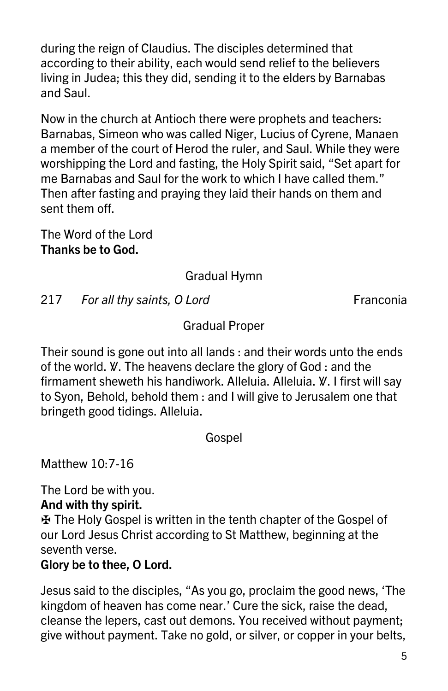during the reign of Claudius. The disciples determined that according to their ability, each would send relief to the believers living in Judea; this they did, sending it to the elders by Barnabas and Saul.

Now in the church at Antioch there were prophets and teachers: Barnabas, Simeon who was called Niger, Lucius of Cyrene, Manaen a member of the court of Herod the ruler, and Saul. While they were worshipping the Lord and fasting, the Holy Spirit said, "Set apart for me Barnabas and Saul for the work to which I have called them." Then after fasting and praying they laid their hands on them and sent them off.

The Word of the Lord Thanks be to God.

## Gradual Hymn

217 For all thy saints, O Lord Franconia

## Gradual Proper

Their sound is gone out into all lands : and their words unto the ends of the world. W. The heavens declare the glory of God : and the firmament sheweth his handiwork. Alleluia. Alleluia. *W. I first will say* to Syon, Behold, behold them : and I will give to Jerusalem one that bringeth good tidings. Alleluia.

Gospel

Matthew 10:7-16

The Lord be with you.

### And with thy spirit.

✠ The Holy Gospel is written in the tenth chapter of the Gospel of our Lord Jesus Christ according to St Matthew, beginning at the seventh verse.

## Glory be to thee, O Lord.

Jesus said to the disciples, "As you go, proclaim the good news, 'The kingdom of heaven has come near.' Cure the sick, raise the dead, cleanse the lepers, cast out demons. You received without payment; give without payment. Take no gold, or silver, or copper in your belts,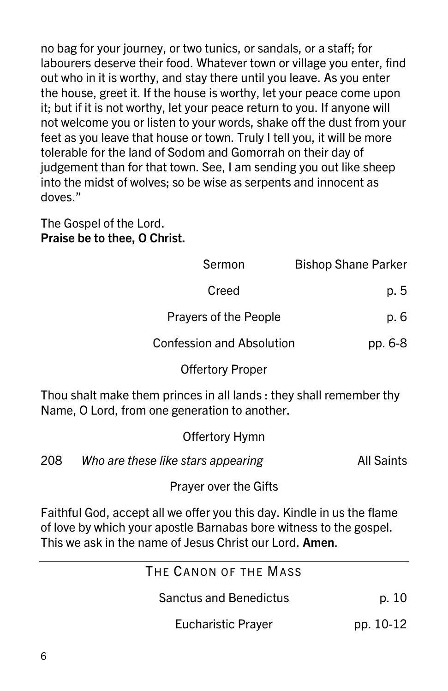no bag for your journey, or two tunics, or sandals, or a staff; for labourers deserve their food. Whatever town or village you enter, find out who in it is worthy, and stay there until you leave. As you enter the house, greet it. If the house is worthy, let your peace come upon it; but if it is not worthy, let your peace return to you. If anyone will not welcome you or listen to your words, shake off the dust from your feet as you leave that house or town. Truly I tell you, it will be more tolerable for the land of Sodom and Gomorrah on their day of judgement than for that town. See, I am sending you out like sheep into the midst of wolves; so be wise as serpents and innocent as doves."

The Gospel of the Lord. Praise be to thee, O Christ.

|                                  | Sermon                | <b>Bishop Shane Parker</b> |
|----------------------------------|-----------------------|----------------------------|
|                                  | Creed                 | p. 5                       |
|                                  | Prayers of the People | p. 6                       |
| <b>Confession and Absolution</b> |                       | pp. 6-8                    |
| <b>Offertory Proper</b>          |                       |                            |
|                                  |                       |                            |

Thou shalt make them princes in all lands : they shall remember thy Name, O Lord, from one generation to another.

| Offertory Hymn |
|----------------|
|----------------|

| 208 | Who are these like stars appearing | <b>All Saints</b> |
|-----|------------------------------------|-------------------|
|     |                                    |                   |

Prayer over the Gifts

Faithful God, accept all we offer you this day. Kindle in us the flame of love by which your apostle Barnabas bore witness to the gospel. This we ask in the name of Jesus Christ our Lord. Amen.

| THE CANON OF THE MASS         |           |
|-------------------------------|-----------|
|                               |           |
| <b>Sanctus and Benedictus</b> | p. 10     |
|                               |           |
| <b>Eucharistic Prayer</b>     | pp. 10-12 |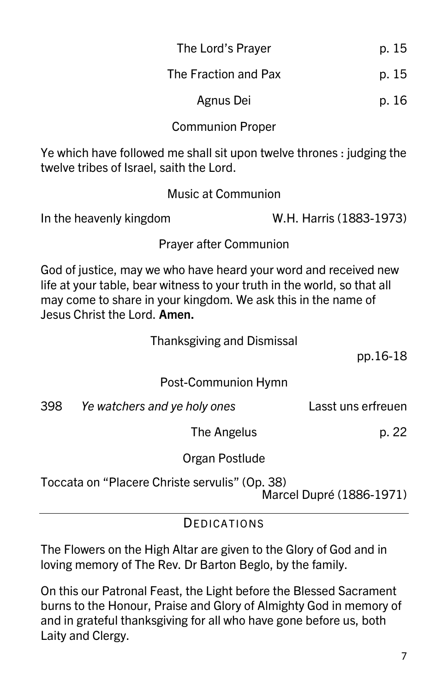| The Lord's Prayer                                                                                                                                                                                                                             | p. 15                   |
|-----------------------------------------------------------------------------------------------------------------------------------------------------------------------------------------------------------------------------------------------|-------------------------|
| The Fraction and Pax                                                                                                                                                                                                                          | p. 15                   |
| Agnus Dei                                                                                                                                                                                                                                     | p. 16                   |
| <b>Communion Proper</b>                                                                                                                                                                                                                       |                         |
| Ye which have followed me shall sit upon twelve thrones : judging the<br>twelve tribes of Israel, saith the Lord.                                                                                                                             |                         |
| <b>Music at Communion</b>                                                                                                                                                                                                                     |                         |
| In the heavenly kingdom                                                                                                                                                                                                                       | W.H. Harris (1883-1973) |
| <b>Prayer after Communion</b>                                                                                                                                                                                                                 |                         |
| God of justice, may we who have heard your word and received new<br>life at your table, bear witness to your truth in the world, so that all<br>may come to share in your kingdom. We ask this in the name of<br>Jesus Christ the Lord. Amen. |                         |
| <b>Thanksgiving and Dismissal</b>                                                                                                                                                                                                             | pp.16-18                |
| Post-Communion Hymn                                                                                                                                                                                                                           |                         |
| 398<br>Ye watchers and ye holy ones                                                                                                                                                                                                           | Lasst uns erfreuen      |
| The Angelus                                                                                                                                                                                                                                   | p. 22                   |
| Organ Postlude                                                                                                                                                                                                                                |                         |
| Toccata on "Placere Christe servulis" (Op. 38)<br>Marcel Dupré (1886-1971)                                                                                                                                                                    |                         |
| DEDICATIONS                                                                                                                                                                                                                                   |                         |
| The Flowers on the High Altar are given to the Glory of God and in<br>loving memory of The Rev. Dr Barton Beglo, by the family.                                                                                                               |                         |

On this our Patronal Feast, the Light before the Blessed Sacrament burns to the Honour, Praise and Glory of Almighty God in memory of and in grateful thanksgiving for all who have gone before us, both Laity and Clergy.